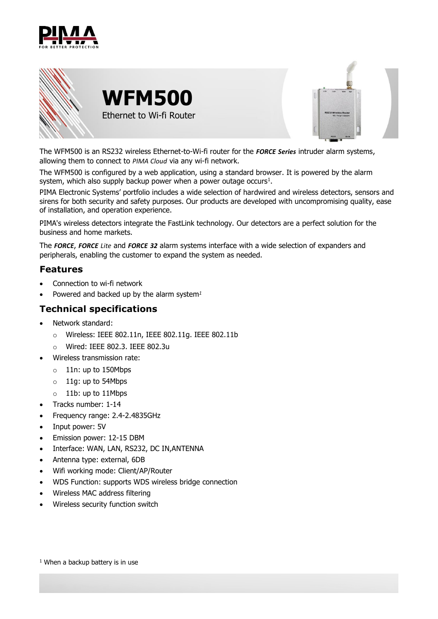



The WFM500 is an RS232 wireless Ethernet-to-Wi-fi router for the *FORCE Series* intruder alarm systems, allowing them to connect to *PIMA Cloud* via any wi-fi network.

<span id="page-0-0"></span>The WFM500 is configured by a web application, using a standard browser. It is powered by the alarm system, which also supply backup power when a power outage occurs<sup>1</sup>.

PIMA Electronic Systems' portfolio includes a wide selection of hardwired and wireless detectors, sensors and sirens for both security and safety purposes. Our products are developed with uncompromising quality, ease of installation, and operation experience.

PIMA's wireless detectors integrate the FastLink technology. Our detectors are a perfect solution for the business and home markets.

The *FORCE*, *FORCE Lite* and *FORCE 32* alarm systems interface with a wide selection of expanders and peripherals, enabling the customer to expand the system as needed.

## **Features**

- Connection to wi-fi network
- Powered and backed up by the alarm system*[1](#page-0-0)*

## **Technical specifications**

- Network standard:
	- o Wireless: IEEE 802.11n, IEEE 802.11g. IEEE 802.11b
	- o Wired: IEEE 802.3. IEEE 802.3u
- Wireless transmission rate:
	- $\circ$  11n: up to 150Mbps
	- o 11g: up to 54Mbps
	- $\circ$  11b: up to 11Mbps
- Tracks number: 1-14
- Frequency range: 2.4-2.4835GHz
- Input power: 5V
- Emission power: 12-15 DBM
- Interface: WAN, LAN, RS232, DC IN,ANTENNA
- Antenna type: external, 6DB
- Wifi working mode: Client/AP/Router
- WDS Function: supports WDS wireless bridge connection
- Wireless MAC address filtering
- Wireless security function switch